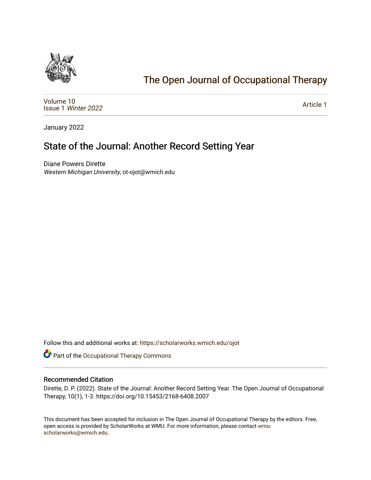

## [The Open Journal of Occupational Therapy](https://scholarworks.wmich.edu/ojot)

[Volume 10](https://scholarworks.wmich.edu/ojot/vol10) Issue 1 [Winter 2022](https://scholarworks.wmich.edu/ojot/vol10/iss1) 

[Article 1](https://scholarworks.wmich.edu/ojot/vol10/iss1/1) 

January 2022

# State of the Journal: Another Record Setting Year

Diane Powers Dirette Western Michigan University, ot-ojot@wmich.edu

Follow this and additional works at: [https://scholarworks.wmich.edu/ojot](https://scholarworks.wmich.edu/ojot?utm_source=scholarworks.wmich.edu%2Fojot%2Fvol10%2Fiss1%2F1&utm_medium=PDF&utm_campaign=PDFCoverPages)

Part of the [Occupational Therapy Commons](http://network.bepress.com/hgg/discipline/752?utm_source=scholarworks.wmich.edu%2Fojot%2Fvol10%2Fiss1%2F1&utm_medium=PDF&utm_campaign=PDFCoverPages) 

#### Recommended Citation

Dirette, D. P. (2022). State of the Journal: Another Record Setting Year. The Open Journal of Occupational Therapy, 10(1), 1-3. https://doi.org/10.15453/2168-6408.2007

This document has been accepted for inclusion in The Open Journal of Occupational Therapy by the editors. Free, open access is provided by ScholarWorks at WMU. For more information, please contact [wmu](mailto:wmu-scholarworks@wmich.edu)[scholarworks@wmich.edu.](mailto:wmu-scholarworks@wmich.edu)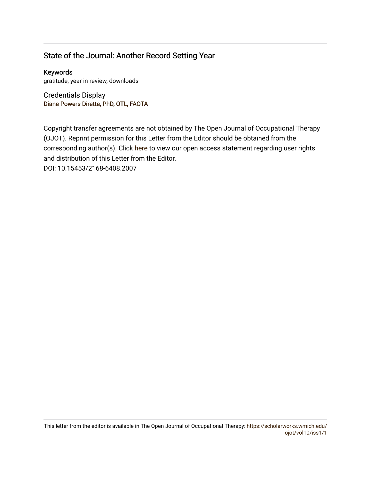### State of the Journal: Another Record Setting Year

Keywords gratitude, year in review, downloads

Credentials Display Diane Powers Dir[ette, PhD, OTL, FAOTA](http://scholarworks.wmich.edu/boardprofiles/16/)

Copyright transfer agreements are not obtained by The Open Journal of Occupational Therapy (OJOT). Reprint permission for this Letter from the Editor should be obtained from the corresponding author(s). Click [here](https://scholarworks.wmich.edu/ojot/policies.html#rights) to view our open access statement regarding user rights and distribution of this Letter from the Editor. DOI: 10.15453/2168-6408.2007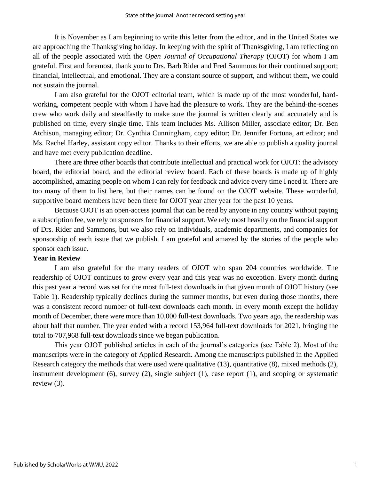It is November as I am beginning to write this letter from the editor, and in the United States we are approaching the Thanksgiving holiday. In keeping with the spirit of Thanksgiving, I am reflecting on all of the people associated with the *Open Journal of Occupational Therapy* (OJOT) for whom I am grateful. First and foremost, thank you to Drs. Barb Rider and Fred Sammons for their continued support; financial, intellectual, and emotional. They are a constant source of support, and without them, we could not sustain the journal.

I am also grateful for the OJOT editorial team, which is made up of the most wonderful, hardworking, competent people with whom I have had the pleasure to work. They are the behind-the-scenes crew who work daily and steadfastly to make sure the journal is written clearly and accurately and is published on time, every single time. This team includes Ms. Allison Miller, associate editor; Dr. Ben Atchison, managing editor; Dr. Cynthia Cunningham, copy editor; Dr. Jennifer Fortuna, art editor; and Ms. Rachel Harley, assistant copy editor. Thanks to their efforts, we are able to publish a quality journal and have met every publication deadline.

There are three other boards that contribute intellectual and practical work for OJOT: the advisory board, the editorial board, and the editorial review board. Each of these boards is made up of highly accomplished, amazing people on whom I can rely for feedback and advice every time I need it. There are too many of them to list here, but their names can be found on the OJOT website. These wonderful, supportive board members have been there for OJOT year after year for the past 10 years.

Because OJOT is an open-access journal that can be read by anyone in any country without paying a subscription fee, we rely on sponsors for financial support. We rely most heavily on the financial support of Drs. Rider and Sammons, but we also rely on individuals, academic departments, and companies for sponsorship of each issue that we publish. I am grateful and amazed by the stories of the people who sponsor each issue.

#### **Year in Review**

I am also grateful for the many readers of OJOT who span 204 countries worldwide. The readership of OJOT continues to grow every year and this year was no exception. Every month during this past year a record was set for the most full-text downloads in that given month of OJOT history (see Table 1). Readership typically declines during the summer months, but even during those months, there was a consistent record number of full-text downloads each month. In every month except the holiday month of December, there were more than 10,000 full-text downloads. Two years ago, the readership was about half that number. The year ended with a record 153,964 full-text downloads for 2021, bringing the total to 707,968 full-text downloads since we began publication.

This year OJOT published articles in each of the journal's categories (see Table 2). Most of the manuscripts were in the category of Applied Research. Among the manuscripts published in the Applied Research category the methods that were used were qualitative (13), quantitative (8), mixed methods (2), instrument development (6), survey (2), single subject (1), case report (1), and scoping or systematic review (3).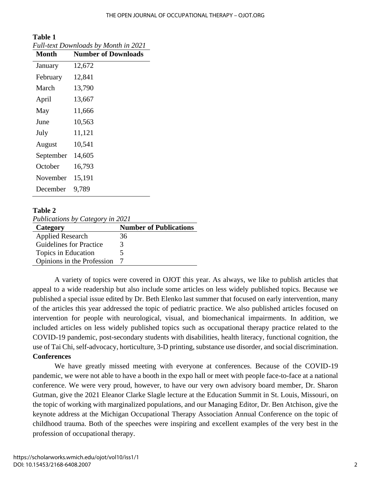| Full-text Downloads by Month in 2021 |                            |  |
|--------------------------------------|----------------------------|--|
| <b>Month</b>                         | <b>Number of Downloads</b> |  |
| January                              | 12,672                     |  |
| February                             | 12,841                     |  |
| March                                | 13,790                     |  |
| April                                | 13,667                     |  |
| May                                  | 11,666                     |  |
| June                                 | 10,563                     |  |
| July                                 | 11,121                     |  |
| August                               | 10,541                     |  |
| September                            | 14,605                     |  |
| October                              | 16,793                     |  |
| November                             | 15,191                     |  |
| December                             | 9,789                      |  |

# **Table 1**

#### **Table 2**

*Publications by Category in 2021*

| Category                       | <b>Number of Publications</b> |
|--------------------------------|-------------------------------|
| <b>Applied Research</b>        | 36                            |
| <b>Guidelines for Practice</b> | 3                             |
| Topics in Education            |                               |
| Opinions in the Profession     |                               |

A variety of topics were covered in OJOT this year. As always, we like to publish articles that appeal to a wide readership but also include some articles on less widely published topics. Because we published a special issue edited by Dr. Beth Elenko last summer that focused on early intervention, many of the articles this year addressed the topic of pediatric practice. We also published articles focused on intervention for people with neurological, visual, and biomechanical impairments. In addition, we included articles on less widely published topics such as occupational therapy practice related to the COVID-19 pandemic, post-secondary students with disabilities, health literacy, functional cognition, the use of Tai Chi, self-advocacy, horticulture, 3-D printing, substance use disorder, and social discrimination. **Conferences**

We have greatly missed meeting with everyone at conferences. Because of the COVID-19 pandemic, we were not able to have a booth in the expo hall or meet with people face-to-face at a national conference. We were very proud, however, to have our very own advisory board member, Dr. Sharon Gutman, give the 2021 Eleanor Clarke Slagle lecture at the Education Summit in St. Louis, Missouri, on the topic of working with marginalized populations, and our Managing Editor, Dr. Ben Atchison, give the keynote address at the Michigan Occupational Therapy Association Annual Conference on the topic of childhood trauma. Both of the speeches were inspiring and excellent examples of the very best in the profession of occupational therapy.